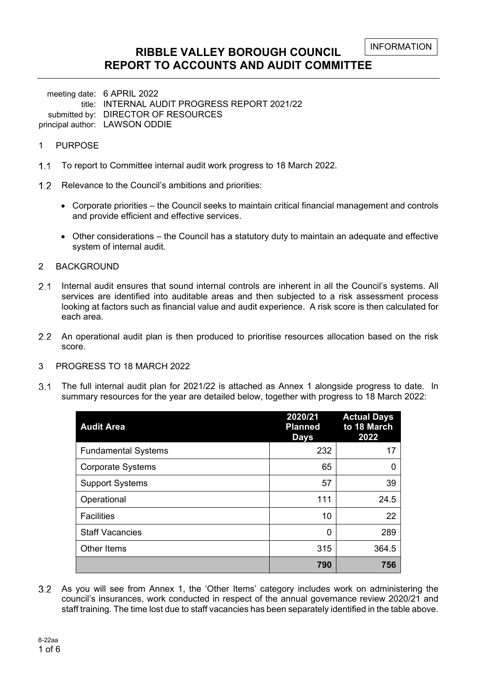### **RIBBLE VALLEY BOROUGH COUNCIL REPORT TO ACCOUNTS AND AUDIT COMMITTEE**

meeting date: 6 APRIL 2022 title: INTERNAL AUDIT PROGRESS REPORT 2021/22 submitted by: DIRECTOR OF RESOURCES principal author: LAWSON ODDIE

#### 1 PURPOSE

- 1.1 To report to Committee internal audit work progress to 18 March 2022.
- 1.2 Relevance to the Council's ambitions and priorities:
	- Corporate priorities the Council seeks to maintain critical financial management and controls and provide efficient and effective services.
	- Other considerations the Council has a statutory duty to maintain an adequate and effective system of internal audit.

#### 2 BACKGROUND

- 2.1 Internal audit ensures that sound internal controls are inherent in all the Council's systems. All services are identified into auditable areas and then subjected to a risk assessment process looking at factors such as financial value and audit experience. A risk score is then calculated for each area.
- An operational audit plan is then produced to prioritise resources allocation based on the risk score.
- 3 PROGRESS TO 18 MARCH 2022
- The full internal audit plan for 2021/22 is attached as Annex 1 alongside progress to date. In summary resources for the year are detailed below, together with progress to 18 March 2022:

| <b>Audit Area</b>          | 2020/21<br><b>Planned</b><br><b>Days</b> | <b>Actual Days</b><br>to 18 March<br>2022 |
|----------------------------|------------------------------------------|-------------------------------------------|
| <b>Fundamental Systems</b> | 232                                      | 17                                        |
| <b>Corporate Systems</b>   | 65                                       | 0                                         |
| <b>Support Systems</b>     | 57                                       | 39                                        |
| Operational                | 111                                      | 24.5                                      |
| <b>Facilities</b>          | 10                                       | 22                                        |
| <b>Staff Vacancies</b>     | 0                                        | 289                                       |
| Other Items                | 315                                      | 364.5                                     |
|                            | 790                                      | 756                                       |

 As you will see from Annex 1, the 'Other Items' category includes work on administering the council's insurances, work conducted in respect of the annual governance review 2020/21 and staff training. The time lost due to staff vacancies has been separately identified in the table above.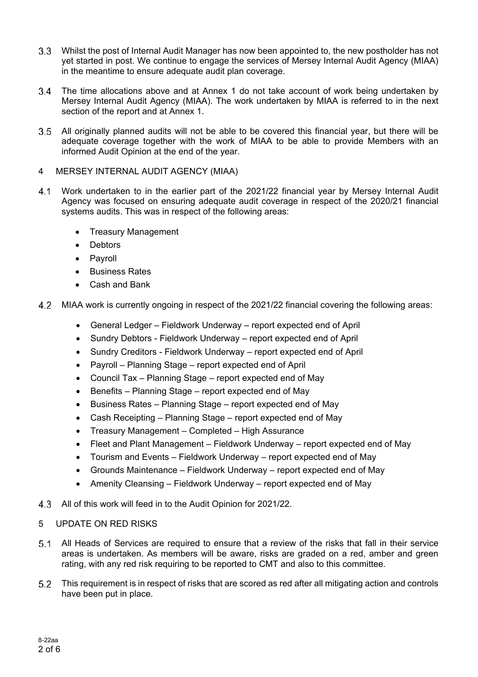- Whilst the post of Internal Audit Manager has now been appointed to, the new postholder has not yet started in post. We continue to engage the services of Mersey Internal Audit Agency (MIAA) in the meantime to ensure adequate audit plan coverage.
- The time allocations above and at Annex 1 do not take account of work being undertaken by Mersey Internal Audit Agency (MIAA). The work undertaken by MIAA is referred to in the next section of the report and at Annex 1.
- All originally planned audits will not be able to be covered this financial year, but there will be adequate coverage together with the work of MIAA to be able to provide Members with an informed Audit Opinion at the end of the year.
- 4 MERSEY INTERNAL AUDIT AGENCY (MIAA)
- Work undertaken to in the earlier part of the 2021/22 financial year by Mersey Internal Audit Agency was focused on ensuring adequate audit coverage in respect of the 2020/21 financial systems audits. This was in respect of the following areas:
	- Treasury Management
	- Debtors
	- Pavroll
	- **•** Business Rates
	- Cash and Bank
- MIAA work is currently ongoing in respect of the 2021/22 financial covering the following areas:
	- General Ledger Fieldwork Underway report expected end of April
	- Sundry Debtors Fieldwork Underway report expected end of April
	- Sundry Creditors Fieldwork Underway report expected end of April
	- Payroll Planning Stage report expected end of April
	- Council Tax Planning Stage report expected end of May
	- Benefits Planning Stage report expected end of May
	- Business Rates Planning Stage report expected end of May
	- Cash Receipting Planning Stage report expected end of May
	- Treasury Management Completed High Assurance
	- Fleet and Plant Management Fieldwork Underway report expected end of May
	- Tourism and Events Fieldwork Underway report expected end of May
	- Grounds Maintenance Fieldwork Underway report expected end of May
	- Amenity Cleansing Fieldwork Underway report expected end of May
- All of this work will feed in to the Audit Opinion for 2021/22.

#### 5 UPDATE ON RED RISKS

- All Heads of Services are required to ensure that a review of the risks that fall in their service areas is undertaken. As members will be aware, risks are graded on a red, amber and green rating, with any red risk requiring to be reported to CMT and also to this committee.
- This requirement is in respect of risks that are scored as red after all mitigating action and controls have been put in place.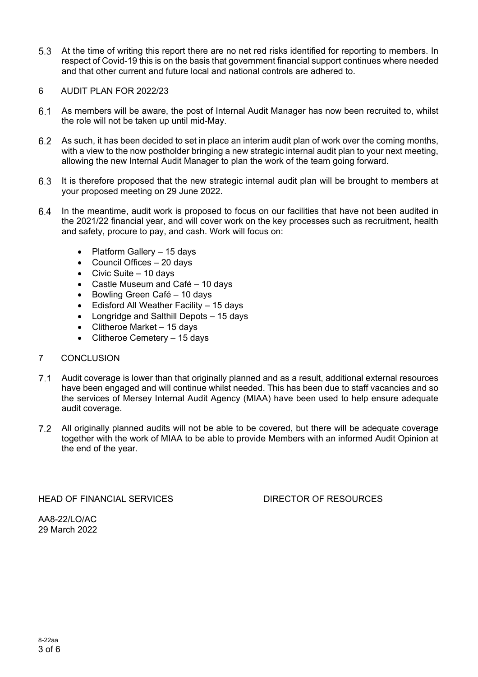At the time of writing this report there are no net red risks identified for reporting to members. In respect of Covid-19 this is on the basis that government financial support continues where needed and that other current and future local and national controls are adhered to.

#### 6 AUDIT PLAN FOR 2022/23

- As members will be aware, the post of Internal Audit Manager has now been recruited to, whilst the role will not be taken up until mid-May.
- As such, it has been decided to set in place an interim audit plan of work over the coming months, with a view to the now postholder bringing a new strategic internal audit plan to your next meeting, allowing the new Internal Audit Manager to plan the work of the team going forward.
- It is therefore proposed that the new strategic internal audit plan will be brought to members at your proposed meeting on 29 June 2022.
- In the meantime, audit work is proposed to focus on our facilities that have not been audited in the 2021/22 financial year, and will cover work on the key processes such as recruitment, health and safety, procure to pay, and cash. Work will focus on:
	- Platform Gallery 15 days
	- Council Offices 20 days
	- Civic Suite 10 days
	- Castle Museum and Café 10 days
	- Bowling Green Café 10 days
	- Edisford All Weather Facility 15 days
	- Longridge and Salthill Depots 15 days
	- Clitheroe Market 15 days
	- Clitheroe Cemetery 15 days

#### 7 CONCLUSION

- Audit coverage is lower than that originally planned and as a result, additional external resources have been engaged and will continue whilst needed. This has been due to staff vacancies and so the services of Mersey Internal Audit Agency (MIAA) have been used to help ensure adequate audit coverage.
- All originally planned audits will not be able to be covered, but there will be adequate coverage together with the work of MIAA to be able to provide Members with an informed Audit Opinion at the end of the year.

HEAD OF FINANCIAL SERVICES DIRECTOR OF RESOURCES

AA8-22/LO/AC 29 March 2022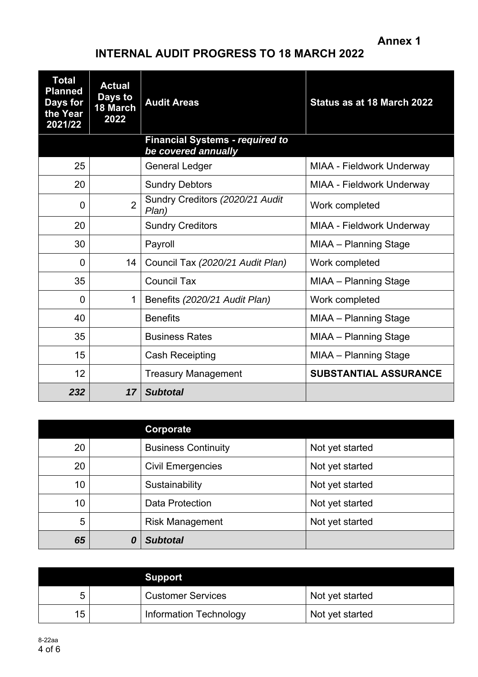**Annex 1** 

# **INTERNAL AUDIT PROGRESS TO 18 MARCH 2022**

| <b>Total</b><br><b>Planned</b><br>Days for<br>the Year<br>2021/22 | <b>Actual</b><br>Days to<br>18 March<br>2022 | <b>Audit Areas</b>                                            | Status as at 18 March 2022   |
|-------------------------------------------------------------------|----------------------------------------------|---------------------------------------------------------------|------------------------------|
|                                                                   |                                              | <b>Financial Systems - required to</b><br>be covered annually |                              |
| 25                                                                |                                              | <b>General Ledger</b>                                         | MIAA - Fieldwork Underway    |
| 20                                                                |                                              | <b>Sundry Debtors</b>                                         | MIAA - Fieldwork Underway    |
| 0                                                                 | $\overline{2}$                               | Sundry Creditors (2020/21 Audit<br>Plan)                      | Work completed               |
| 20                                                                |                                              | <b>Sundry Creditors</b>                                       | MIAA - Fieldwork Underway    |
| 30                                                                |                                              | Payroll                                                       | MIAA - Planning Stage        |
| $\overline{0}$                                                    | 14                                           | Council Tax (2020/21 Audit Plan)                              | Work completed               |
| 35                                                                |                                              | <b>Council Tax</b>                                            | MIAA - Planning Stage        |
| 0                                                                 | $\mathbf 1$                                  | Benefits (2020/21 Audit Plan)                                 | Work completed               |
| 40                                                                |                                              | <b>Benefits</b>                                               | MIAA - Planning Stage        |
| 35                                                                |                                              | <b>Business Rates</b>                                         | MIAA - Planning Stage        |
| 15                                                                |                                              | <b>Cash Receipting</b>                                        | MIAA - Planning Stage        |
| 12                                                                |                                              | <b>Treasury Management</b>                                    | <b>SUBSTANTIAL ASSURANCE</b> |
| 232                                                               | 17                                           | <b>Subtotal</b>                                               |                              |

|                 | Corporate                  |                 |
|-----------------|----------------------------|-----------------|
| 20              | <b>Business Continuity</b> | Not yet started |
| 20              | <b>Civil Emergencies</b>   | Not yet started |
| 10 <sup>°</sup> | Sustainability             | Not yet started |
| 10              | <b>Data Protection</b>     | Not yet started |
| 5               | <b>Risk Management</b>     | Not yet started |
| 65              | <b>Subtotal</b>            |                 |

|    | <b>Support</b>           |                 |
|----|--------------------------|-----------------|
| 5  | <b>Customer Services</b> | Not yet started |
| 15 | Information Technology   | Not yet started |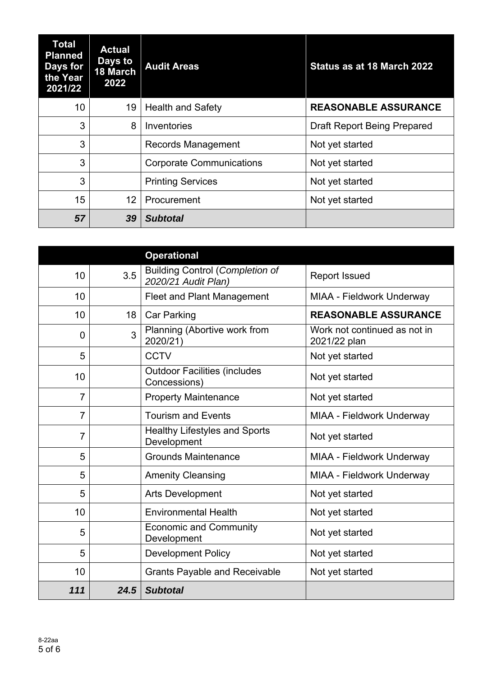| Total<br><b>Planned</b><br>Days for<br>the Year<br>2021/22 | <b>Actual</b><br>Days to<br><b>18 March</b><br>2022 | <b>Audit Areas</b>              | Status as at 18 March 2022         |
|------------------------------------------------------------|-----------------------------------------------------|---------------------------------|------------------------------------|
| 10 <sup>°</sup>                                            | 19                                                  | <b>Health and Safety</b>        | <b>REASONABLE ASSURANCE</b>        |
| 3                                                          | 8                                                   | Inventories                     | <b>Draft Report Being Prepared</b> |
| 3                                                          |                                                     | Records Management              | Not yet started                    |
| 3                                                          |                                                     | <b>Corporate Communications</b> | Not yet started                    |
| 3                                                          |                                                     | <b>Printing Services</b>        | Not yet started                    |
| 15                                                         | 12                                                  | Procurement                     | Not yet started                    |
| 57                                                         | 39                                                  | <b>Subtotal</b>                 |                                    |

|                |      | <b>Operational</b>                                            |                                              |
|----------------|------|---------------------------------------------------------------|----------------------------------------------|
| 10             | 3.5  | <b>Building Control (Completion of</b><br>2020/21 Audit Plan) | <b>Report Issued</b>                         |
| 10             |      | <b>Fleet and Plant Management</b>                             | MIAA - Fieldwork Underway                    |
| 10             | 18   | <b>Car Parking</b>                                            | <b>REASONABLE ASSURANCE</b>                  |
| 0              | 3    | Planning (Abortive work from<br>2020/21)                      | Work not continued as not in<br>2021/22 plan |
| 5              |      | <b>CCTV</b>                                                   | Not yet started                              |
| 10             |      | <b>Outdoor Facilities (includes</b><br>Concessions)           | Not yet started                              |
| $\overline{7}$ |      | <b>Property Maintenance</b>                                   | Not yet started                              |
| $\overline{7}$ |      | <b>Tourism and Events</b>                                     | MIAA - Fieldwork Underway                    |
| $\overline{7}$ |      | <b>Healthy Lifestyles and Sports</b><br>Development           | Not yet started                              |
| 5              |      | <b>Grounds Maintenance</b>                                    | MIAA - Fieldwork Underway                    |
| 5              |      | <b>Amenity Cleansing</b>                                      | MIAA - Fieldwork Underway                    |
| 5              |      | <b>Arts Development</b>                                       | Not yet started                              |
| 10             |      | <b>Environmental Health</b>                                   | Not yet started                              |
| 5              |      | <b>Economic and Community</b><br>Development                  | Not yet started                              |
| 5              |      | <b>Development Policy</b>                                     | Not yet started                              |
| 10             |      | <b>Grants Payable and Receivable</b>                          | Not yet started                              |
| 111            | 24.5 | <b>Subtotal</b>                                               |                                              |